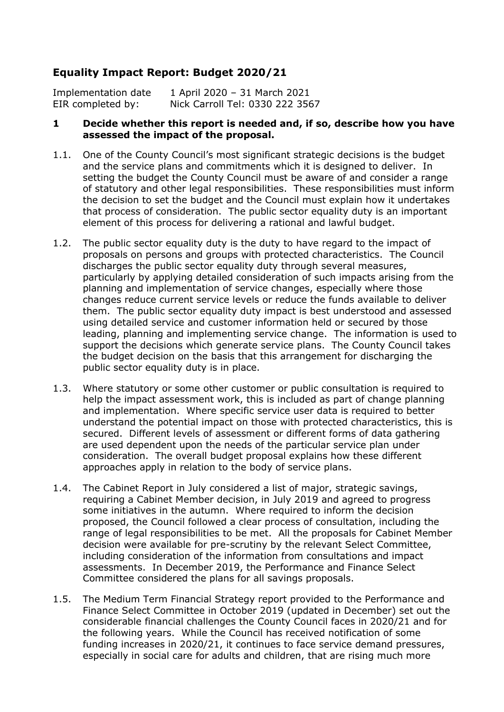# **Equality Impact Report: Budget 2020/21**

Implementation date 1 April 2020 – 31 March 2021 EIR completed by: Nick Carroll Tel: 0330 222 3567

#### **1 Decide whether this report is needed and, if so, describe how you have assessed the impact of the proposal.**

- 1.1. One of the County Council's most significant strategic decisions is the budget and the service plans and commitments which it is designed to deliver. In setting the budget the County Council must be aware of and consider a range of statutory and other legal responsibilities. These responsibilities must inform the decision to set the budget and the Council must explain how it undertakes that process of consideration. The public sector equality duty is an important element of this process for delivering a rational and lawful budget.
- 1.2. The public sector equality duty is the duty to have regard to the impact of proposals on persons and groups with protected characteristics. The Council discharges the public sector equality duty through several measures, particularly by applying detailed consideration of such impacts arising from the planning and implementation of service changes, especially where those changes reduce current service levels or reduce the funds available to deliver them. The public sector equality duty impact is best understood and assessed using detailed service and customer information held or secured by those leading, planning and implementing service change. The information is used to support the decisions which generate service plans. The County Council takes the budget decision on the basis that this arrangement for discharging the public sector equality duty is in place.
- 1.3. Where statutory or some other customer or public consultation is required to help the impact assessment work, this is included as part of change planning and implementation. Where specific service user data is required to better understand the potential impact on those with protected characteristics, this is secured. Different levels of assessment or different forms of data gathering are used dependent upon the needs of the particular service plan under consideration. The overall budget proposal explains how these different approaches apply in relation to the body of service plans.
- 1.4. The Cabinet Report in July considered a list of major, strategic savings, requiring a Cabinet Member decision, in July 2019 and agreed to progress some initiatives in the autumn. Where required to inform the decision proposed, the Council followed a clear process of consultation, including the range of legal responsibilities to be met. All the proposals for Cabinet Member decision were available for pre-scrutiny by the relevant Select Committee, including consideration of the information from consultations and impact assessments. In December 2019, the Performance and Finance Select Committee considered the plans for all savings proposals.
- 1.5. The Medium Term Financial Strategy report provided to the Performance and Finance Select Committee in October 2019 (updated in December) set out the considerable financial challenges the County Council faces in 2020/21 and for the following years. While the Council has received notification of some funding increases in 2020/21, it continues to face service demand pressures, especially in social care for adults and children, that are rising much more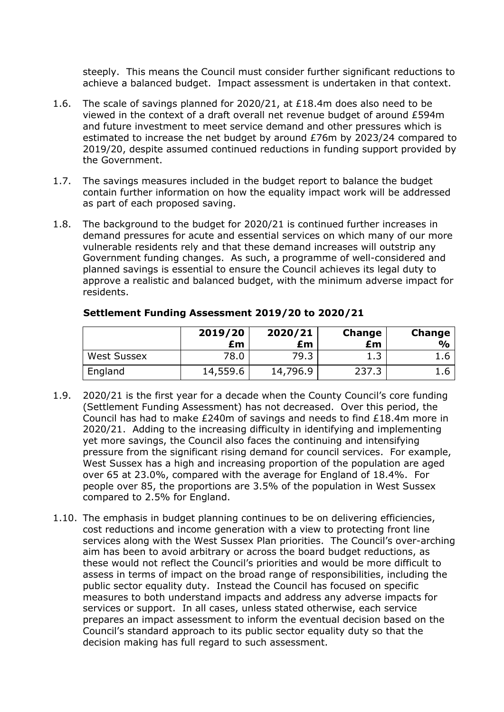steeply. This means the Council must consider further significant reductions to achieve a balanced budget. Impact assessment is undertaken in that context.

- 1.6. The scale of savings planned for 2020/21, at £18.4m does also need to be viewed in the context of a draft overall net revenue budget of around £594m and future investment to meet service demand and other pressures which is estimated to increase the net budget by around £76m by 2023/24 compared to 2019/20, despite assumed continued reductions in funding support provided by the Government.
- 1.7. The savings measures included in the budget report to balance the budget contain further information on how the equality impact work will be addressed as part of each proposed saving.
- 1.8. The background to the budget for 2020/21 is continued further increases in demand pressures for acute and essential services on which many of our more vulnerable residents rely and that these demand increases will outstrip any Government funding changes. As such, a programme of well-considered and planned savings is essential to ensure the Council achieves its legal duty to approve a realistic and balanced budget, with the minimum adverse impact for residents.

|                    | 2019/20<br>£m | 2020/21<br>£m | Change<br>£m | Change<br>$\frac{1}{2}$ |
|--------------------|---------------|---------------|--------------|-------------------------|
| <b>West Sussex</b> | 78.0          | 79.3          | 1.3          | 1.b                     |
| England            | 14,559.6      | 14,796.9      | 237.3        | L.b                     |

#### **Settlement Funding Assessment 2019/20 to 2020/21**

- 1.9. 2020/21 is the first year for a decade when the County Council's core funding (Settlement Funding Assessment) has not decreased. Over this period, the Council has had to make £240m of savings and needs to find £18.4m more in 2020/21. Adding to the increasing difficulty in identifying and implementing yet more savings, the Council also faces the continuing and intensifying pressure from the significant rising demand for council services. For example, West Sussex has a high and increasing proportion of the population are aged over 65 at 23.0%, compared with the average for England of 18.4%. For people over 85, the proportions are 3.5% of the population in West Sussex compared to 2.5% for England.
- 1.10. The emphasis in budget planning continues to be on delivering efficiencies, cost reductions and income generation with a view to protecting front line services along with the West Sussex Plan priorities. The Council's over-arching aim has been to avoid arbitrary or across the board budget reductions, as these would not reflect the Council's priorities and would be more difficult to assess in terms of impact on the broad range of responsibilities, including the public sector equality duty. Instead the Council has focused on specific measures to both understand impacts and address any adverse impacts for services or support. In all cases, unless stated otherwise, each service prepares an impact assessment to inform the eventual decision based on the Council's standard approach to its public sector equality duty so that the decision making has full regard to such assessment.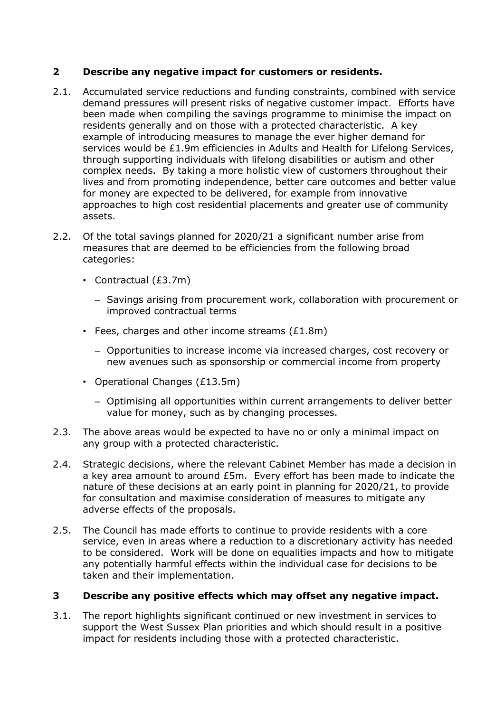## **2 Describe any negative impact for customers or residents.**

- 2.1. Accumulated service reductions and funding constraints, combined with service demand pressures will present risks of negative customer impact. Efforts have been made when compiling the savings programme to minimise the impact on residents generally and on those with a protected characteristic. A key example of introducing measures to manage the ever higher demand for services would be £1.9m efficiencies in Adults and Health for Lifelong Services, through supporting individuals with lifelong disabilities or autism and other complex needs. By taking a more holistic view of customers throughout their lives and from promoting independence, better care outcomes and better value for money are expected to be delivered, for example from innovative approaches to high cost residential placements and greater use of community assets.
- 2.2. Of the total savings planned for 2020/21 a significant number arise from measures that are deemed to be efficiencies from the following broad categories:
	- Contractual (£3.7m)
		- Savings arising from procurement work, collaboration with procurement or improved contractual terms
	- $\cdot$  Fees, charges and other income streams (£1.8m)
		- Opportunities to increase income via increased charges, cost recovery or new avenues such as sponsorship or commercial income from property
	- Operational Changes (£13.5m)
		- Optimising all opportunities within current arrangements to deliver better value for money, such as by changing processes.
- 2.3. The above areas would be expected to have no or only a minimal impact on any group with a protected characteristic.
- 2.4. Strategic decisions, where the relevant Cabinet Member has made a decision in a key area amount to around £5m. Every effort has been made to indicate the nature of these decisions at an early point in planning for 2020/21, to provide for consultation and maximise consideration of measures to mitigate any adverse effects of the proposals.
- 2.5. The Council has made efforts to continue to provide residents with a core service, even in areas where a reduction to a discretionary activity has needed to be considered. Work will be done on equalities impacts and how to mitigate any potentially harmful effects within the individual case for decisions to be taken and their implementation.

## **3 Describe any positive effects which may offset any negative impact.**

3.1. The report highlights significant continued or new investment in services to support the West Sussex Plan priorities and which should result in a positive impact for residents including those with a protected characteristic.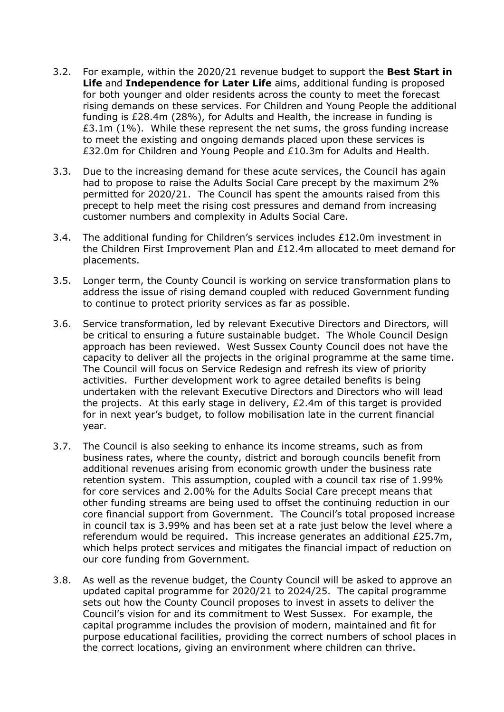- 3.2. For example, within the 2020/21 revenue budget to support the **Best Start in Life** and **Independence for Later Life** aims, additional funding is proposed for both younger and older residents across the county to meet the forecast rising demands on these services. For Children and Young People the additional funding is £28.4m (28%), for Adults and Health, the increase in funding is £3.1m (1%). While these represent the net sums, the gross funding increase to meet the existing and ongoing demands placed upon these services is £32.0m for Children and Young People and £10.3m for Adults and Health.
- 3.3. Due to the increasing demand for these acute services, the Council has again had to propose to raise the Adults Social Care precept by the maximum 2% permitted for 2020/21. The Council has spent the amounts raised from this precept to help meet the rising cost pressures and demand from increasing customer numbers and complexity in Adults Social Care.
- 3.4. The additional funding for Children's services includes £12.0m investment in the Children First Improvement Plan and £12.4m allocated to meet demand for placements.
- 3.5. Longer term, the County Council is working on service transformation plans to address the issue of rising demand coupled with reduced Government funding to continue to protect priority services as far as possible.
- 3.6. Service transformation, led by relevant Executive Directors and Directors, will be critical to ensuring a future sustainable budget. The Whole Council Design approach has been reviewed. West Sussex County Council does not have the capacity to deliver all the projects in the original programme at the same time. The Council will focus on Service Redesign and refresh its view of priority activities. Further development work to agree detailed benefits is being undertaken with the relevant Executive Directors and Directors who will lead the projects. At this early stage in delivery, £2.4m of this target is provided for in next year's budget, to follow mobilisation late in the current financial year.
- 3.7. The Council is also seeking to enhance its income streams, such as from business rates, where the county, district and borough councils benefit from additional revenues arising from economic growth under the business rate retention system. This assumption, coupled with a council tax rise of 1.99% for core services and 2.00% for the Adults Social Care precept means that other funding streams are being used to offset the continuing reduction in our core financial support from Government. The Council's total proposed increase in council tax is 3.99% and has been set at a rate just below the level where a referendum would be required. This increase generates an additional £25.7m, which helps protect services and mitigates the financial impact of reduction on our core funding from Government.
- 3.8. As well as the revenue budget, the County Council will be asked to approve an updated capital programme for 2020/21 to 2024/25. The capital programme sets out how the County Council proposes to invest in assets to deliver the Council's vision for and its commitment to West Sussex. For example, the capital programme includes the provision of modern, maintained and fit for purpose educational facilities, providing the correct numbers of school places in the correct locations, giving an environment where children can thrive.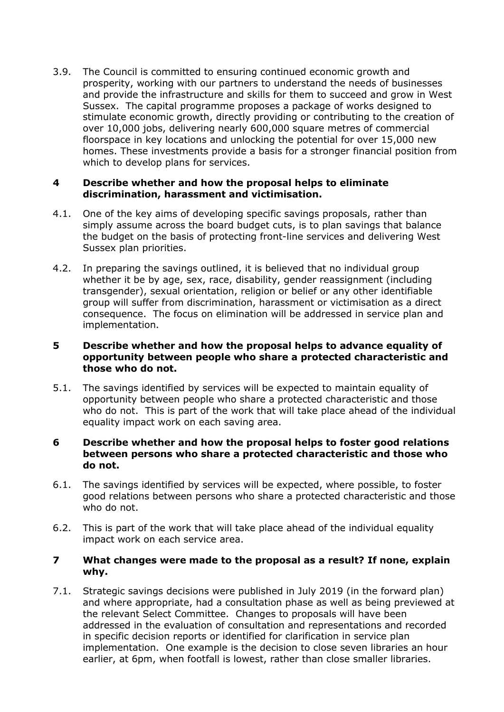3.9. The Council is committed to ensuring continued economic growth and prosperity, working with our partners to understand the needs of businesses and provide the infrastructure and skills for them to succeed and grow in West Sussex. The capital programme proposes a package of works designed to stimulate economic growth, directly providing or contributing to the creation of over 10,000 jobs, delivering nearly 600,000 square metres of commercial floorspace in key locations and unlocking the potential for over 15,000 new homes. These investments provide a basis for a stronger financial position from which to develop plans for services.

#### **4 Describe whether and how the proposal helps to eliminate discrimination, harassment and victimisation.**

- 4.1. One of the key aims of developing specific savings proposals, rather than simply assume across the board budget cuts, is to plan savings that balance the budget on the basis of protecting front-line services and delivering West Sussex plan priorities.
- 4.2. In preparing the savings outlined, it is believed that no individual group whether it be by age, sex, race, disability, gender reassignment (including transgender), sexual orientation, religion or belief or any other identifiable group will suffer from discrimination, harassment or victimisation as a direct consequence. The focus on elimination will be addressed in service plan and implementation.

#### **5 Describe whether and how the proposal helps to advance equality of opportunity between people who share a protected characteristic and those who do not.**

5.1. The savings identified by services will be expected to maintain equality of opportunity between people who share a protected characteristic and those who do not. This is part of the work that will take place ahead of the individual equality impact work on each saving area.

#### **6 Describe whether and how the proposal helps to foster good relations between persons who share a protected characteristic and those who do not.**

- 6.1. The savings identified by services will be expected, where possible, to foster good relations between persons who share a protected characteristic and those who do not.
- 6.2. This is part of the work that will take place ahead of the individual equality impact work on each service area.

### **7 What changes were made to the proposal as a result? If none, explain why.**

7.1. Strategic savings decisions were published in July 2019 (in the forward plan) and where appropriate, had a consultation phase as well as being previewed at the relevant Select Committee. Changes to proposals will have been addressed in the evaluation of consultation and representations and recorded in specific decision reports or identified for clarification in service plan implementation. One example is the decision to close seven libraries an hour earlier, at 6pm, when footfall is lowest, rather than close smaller libraries.